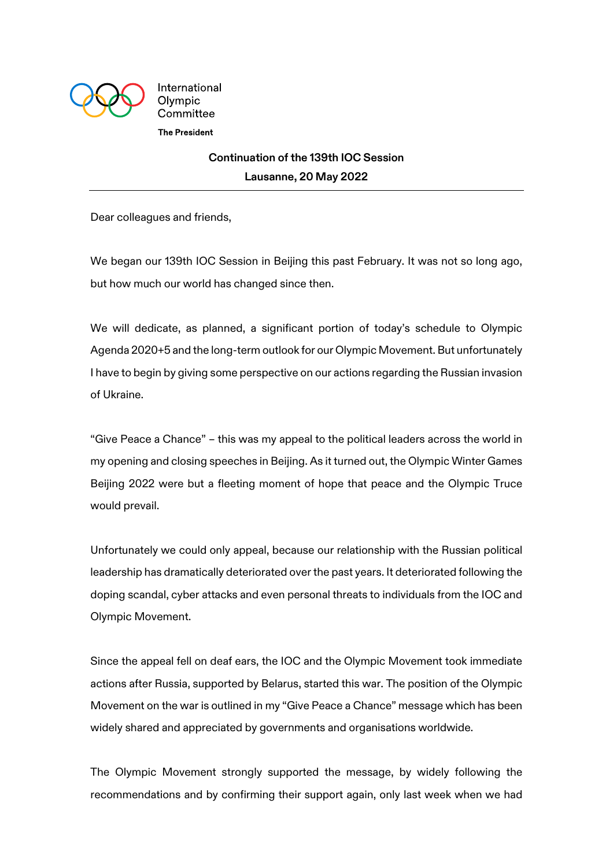

International Olympic Committee **The President** 

## **Continuation of the 139th IOC Session Lausanne, 20 May 2022**

Dear colleagues and friends,

We began our 139th IOC Session in Beijing this past February. It was not so long ago, but how much our world has changed since then.

We will dedicate, as planned, a significant portion of today's schedule to Olympic Agenda 2020+5 and the long-term outlook for our Olympic Movement. But unfortunately I have to begin by giving some perspective on our actions regarding the Russian invasion of Ukraine.

"Give Peace a Chance" – this was my appeal to the political leaders across the world in my opening and closing speeches in Beijing. As it turned out, the Olympic Winter Games Beijing 2022 were but a fleeting moment of hope that peace and the Olympic Truce would prevail.

Unfortunately we could only appeal, because our relationship with the Russian political leadership has dramatically deteriorated over the past years. It deteriorated following the doping scandal, cyber attacks and even personal threats to individuals from the IOC and Olympic Movement.

Since the appeal fell on deaf ears, the IOC and the Olympic Movement took immediate actions after Russia, supported by Belarus, started this war. The position of the Olympic Movement on the war is outlined in my "Give Peace a Chance" message which has been widely shared and appreciated by governments and organisations worldwide.

The Olympic Movement strongly supported the message, by widely following the recommendations and by confirming their support again, only last week when we had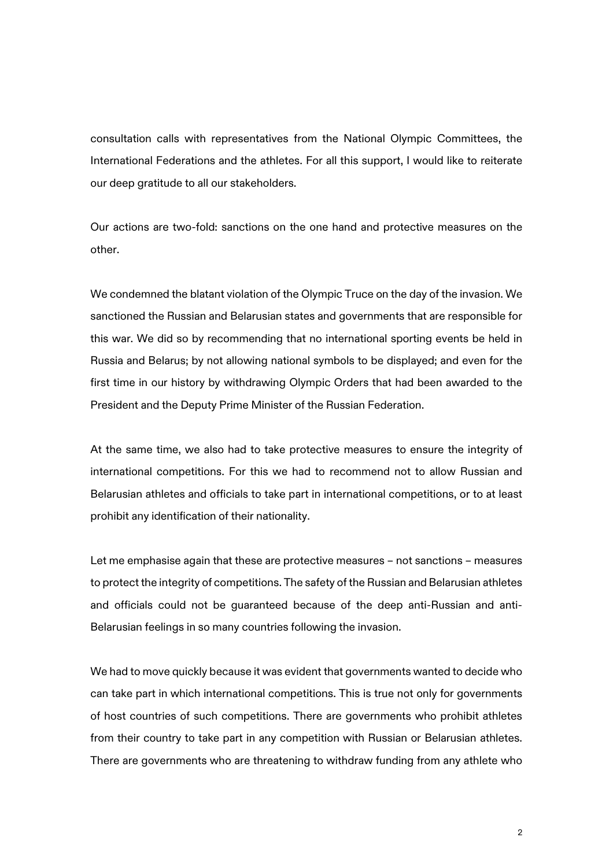consultation calls with representatives from the National Olympic Committees, the International Federations and the athletes. For all this support, I would like to reiterate our deep gratitude to all our stakeholders.

Our actions are two-fold: sanctions on the one hand and protective measures on the other.

We condemned the blatant violation of the Olympic Truce on the day of the invasion. We sanctioned the Russian and Belarusian states and governments that are responsible for this war. We did so by recommending that no international sporting events be held in Russia and Belarus; by not allowing national symbols to be displayed; and even for the first time in our history by withdrawing Olympic Orders that had been awarded to the President and the Deputy Prime Minister of the Russian Federation.

At the same time, we also had to take protective measures to ensure the integrity of international competitions. For this we had to recommend not to allow Russian and Belarusian athletes and officials to take part in international competitions, or to at least prohibit any identification of their nationality.

Let me emphasise again that these are protective measures – not sanctions – measures to protect the integrity of competitions. The safety of the Russian and Belarusian athletes and officials could not be guaranteed because of the deep anti-Russian and anti-Belarusian feelings in so many countries following the invasion.

We had to move quickly because it was evident that governments wanted to decide who can take part in which international competitions. This is true not only for governments of host countries of such competitions. There are governments who prohibit athletes from their country to take part in any competition with Russian or Belarusian athletes. There are governments who are threatening to withdraw funding from any athlete who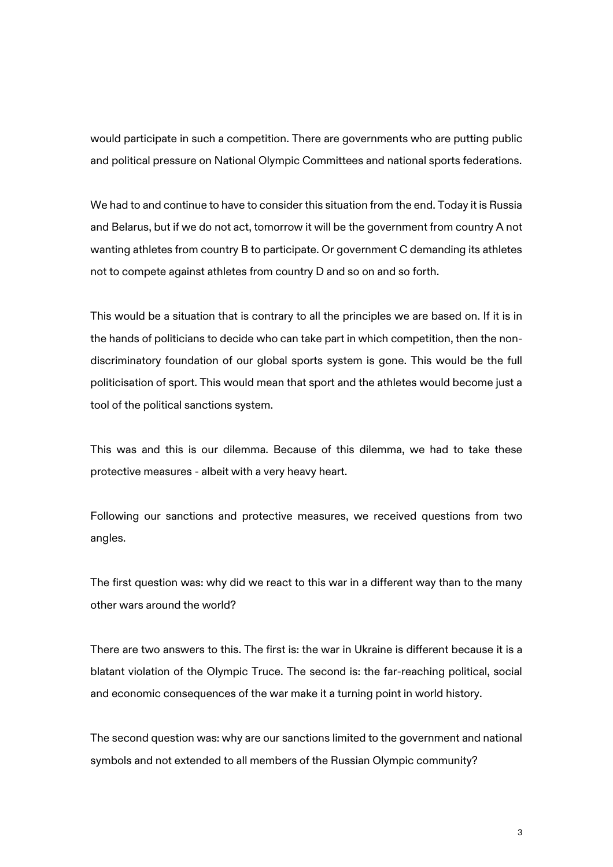would participate in such a competition. There are governments who are putting public and political pressure on National Olympic Committees and national sports federations.

We had to and continue to have to consider this situation from the end. Today it is Russia and Belarus, but if we do not act, tomorrow it will be the government from country A not wanting athletes from country B to participate. Or government C demanding its athletes not to compete against athletes from country D and so on and so forth.

This would be a situation that is contrary to all the principles we are based on. If it is in the hands of politicians to decide who can take part in which competition, then the nondiscriminatory foundation of our global sports system is gone. This would be the full politicisation of sport. This would mean that sport and the athletes would become just a tool of the political sanctions system.

This was and this is our dilemma. Because of this dilemma, we had to take these protective measures - albeit with a very heavy heart.

Following our sanctions and protective measures, we received questions from two angles.

The first question was: why did we react to this war in a different way than to the many other wars around the world?

There are two answers to this. The first is: the war in Ukraine is different because it is a blatant violation of the Olympic Truce. The second is: the far-reaching political, social and economic consequences of the war make it a turning point in world history.

The second question was: why are our sanctions limited to the government and national symbols and not extended to all members of the Russian Olympic community?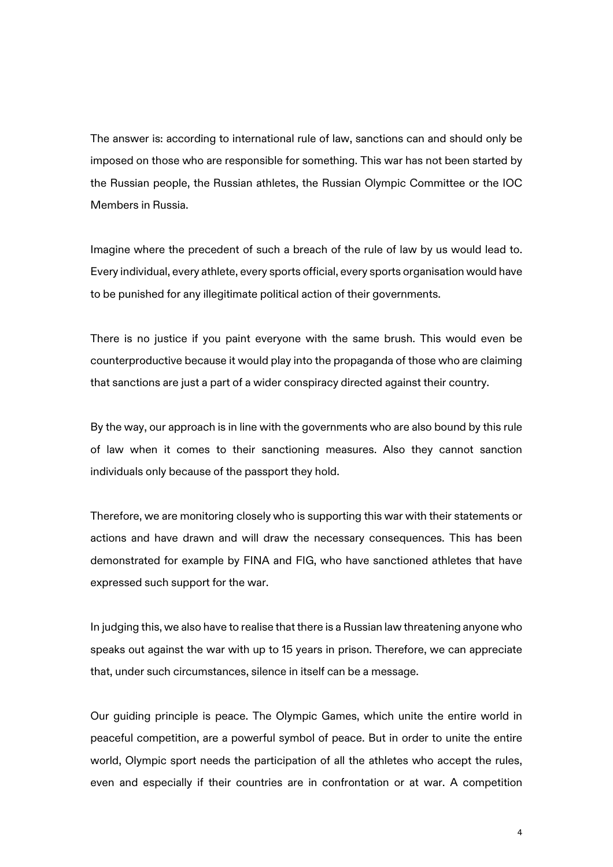The answer is: according to international rule of law, sanctions can and should only be imposed on those who are responsible for something. This war has not been started by the Russian people, the Russian athletes, the Russian Olympic Committee or the IOC Members in Russia.

Imagine where the precedent of such a breach of the rule of law by us would lead to. Every individual, every athlete, every sports official, every sports organisation would have to be punished for any illegitimate political action of their governments.

There is no justice if you paint everyone with the same brush. This would even be counterproductive because it would play into the propaganda of those who are claiming that sanctions are just a part of a wider conspiracy directed against their country.

By the way, our approach is in line with the governments who are also bound by this rule of law when it comes to their sanctioning measures. Also they cannot sanction individuals only because of the passport they hold.

Therefore, we are monitoring closely who is supporting this war with their statements or actions and have drawn and will draw the necessary consequences. This has been demonstrated for example by FINA and FIG, who have sanctioned athletes that have expressed such support for the war.

In judging this, we also have to realise that there is a Russian law threatening anyone who speaks out against the war with up to 15 years in prison. Therefore, we can appreciate that, under such circumstances, silence in itself can be a message.

Our guiding principle is peace. The Olympic Games, which unite the entire world in peaceful competition, are a powerful symbol of peace. But in order to unite the entire world, Olympic sport needs the participation of all the athletes who accept the rules, even and especially if their countries are in confrontation or at war. A competition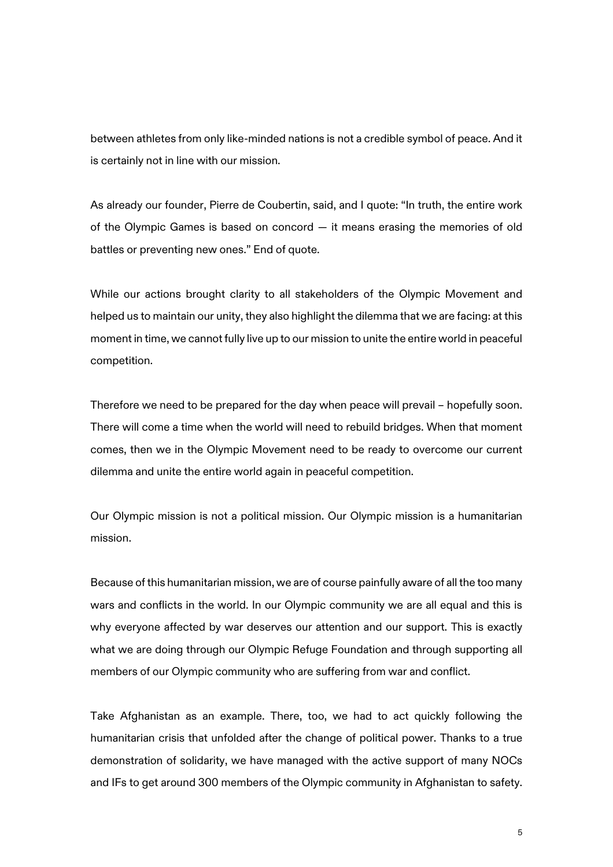between athletes from only like-minded nations is not a credible symbol of peace. And it is certainly not in line with our mission.

As already our founder, Pierre de Coubertin, said, and I quote: "In truth, the entire work of the Olympic Games is based on concord — it means erasing the memories of old battles or preventing new ones." End of quote.

While our actions brought clarity to all stakeholders of the Olympic Movement and helped us to maintain our unity, they also highlight the dilemma that we are facing: at this moment in time, we cannot fully live up to our mission to unite the entire world in peaceful competition.

Therefore we need to be prepared for the day when peace will prevail – hopefully soon. There will come a time when the world will need to rebuild bridges. When that moment comes, then we in the Olympic Movement need to be ready to overcome our current dilemma and unite the entire world again in peaceful competition.

Our Olympic mission is not a political mission. Our Olympic mission is a humanitarian mission.

Because of this humanitarian mission, we are of course painfully aware of all the too many wars and conflicts in the world. In our Olympic community we are all equal and this is why everyone affected by war deserves our attention and our support. This is exactly what we are doing through our Olympic Refuge Foundation and through supporting all members of our Olympic community who are suffering from war and conflict.

Take Afghanistan as an example. There, too, we had to act quickly following the humanitarian crisis that unfolded after the change of political power. Thanks to a true demonstration of solidarity, we have managed with the active support of many NOCs and IFs to get around 300 members of the Olympic community in Afghanistan to safety.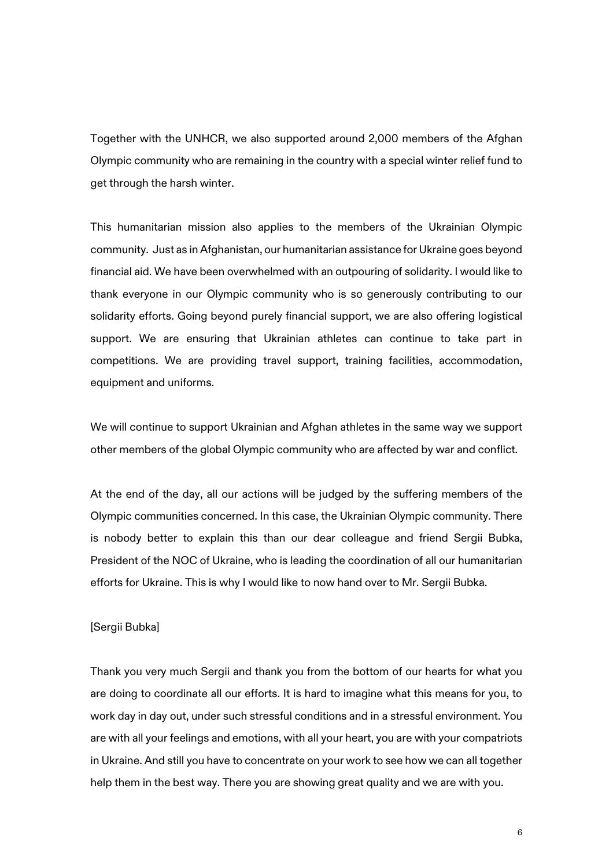Together with the UNHCR, we also supported around 2,000 members of the Afghan Olympic community who are remaining in the country with a special winter relief fund to get through the harsh winter.

This humanitarian mission also applies to the members of the Ukrainian Olympic community. Just as in Afghanistan, our humanitarian assistance for Ukraine goes beyond financial aid. We have been overwhelmed with an outpouring of solidarity. I would like to thank everyone in our Olympic community who is so generously contributing to our solidarity efforts. Going beyond purely financial support, we are also offering logistical support. We are ensuring that Ukrainian athletes can continue to take part in competitions. We are providing travel support, training facilities, accommodation, equipment and uniforms.

We will continue to support Ukrainian and Afghan athletes in the same way we support other members of the global Olympic community who are affected by war and conflict.

At the end of the day, all our actions will be judged by the suffering members of the Olympic communities concerned. In this case, the Ukrainian Olympic community. There is nobody better to explain this than our dear colleague and friend Sergii Bubka, President of the NOC of Ukraine, who is leading the coordination of all our humanitarian efforts for Ukraine. This is why I would like to now hand over to Mr. Sergii Bubka.

## [Sergii Bubka]

Thank you very much Sergii and thank you from the bottom of our hearts for what you are doing to coordinate all our efforts. It is hard to imagine what this means for you, to work day in day out, under such stressful conditions and in a stressful environment. You are with all your feelings and emotions, with all your heart, you are with your compatriots in Ukraine. And still you have to concentrate on your work to see how we can all together help them in the best way. There you are showing great quality and we are with you.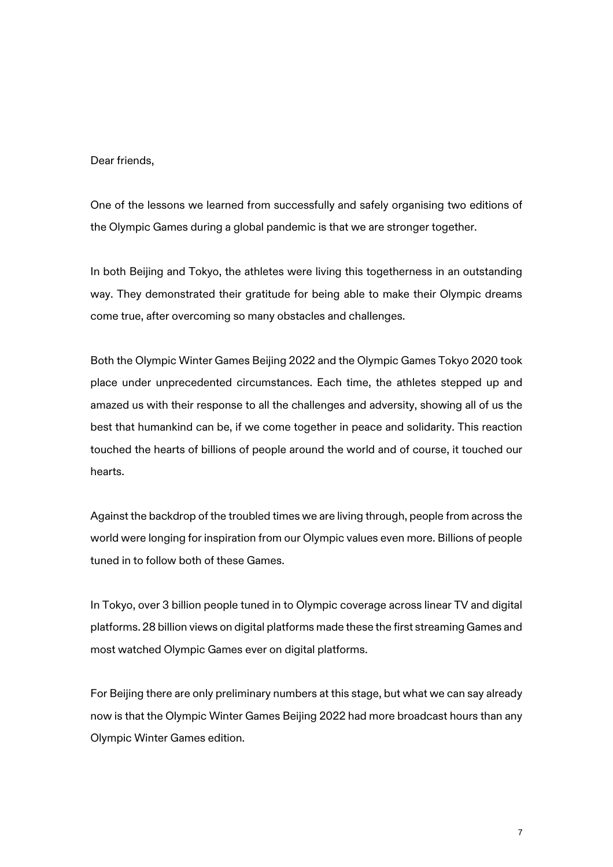## Dear friends,

One of the lessons we learned from successfully and safely organising two editions of the Olympic Games during a global pandemic is that we are stronger together.

In both Beijing and Tokyo, the athletes were living this togetherness in an outstanding way. They demonstrated their gratitude for being able to make their Olympic dreams come true, after overcoming so many obstacles and challenges.

Both the Olympic Winter Games Beijing 2022 and the Olympic Games Tokyo 2020 took place under unprecedented circumstances. Each time, the athletes stepped up and amazed us with their response to all the challenges and adversity, showing all of us the best that humankind can be, if we come together in peace and solidarity. This reaction touched the hearts of billions of people around the world and of course, it touched our hearts.

Against the backdrop of the troubled times we are living through, people from across the world were longing for inspiration from our Olympic values even more. Billions of people tuned in to follow both of these Games.

In Tokyo, over 3 billion people tuned in to Olympic coverage across linear TV and digital platforms. 28 billion views on digital platforms made these the first streaming Games and most watched Olympic Games ever on digital platforms.

For Beijing there are only preliminary numbers at this stage, but what we can say already now is that the Olympic Winter Games Beijing 2022 had more broadcast hours than any Olympic Winter Games edition.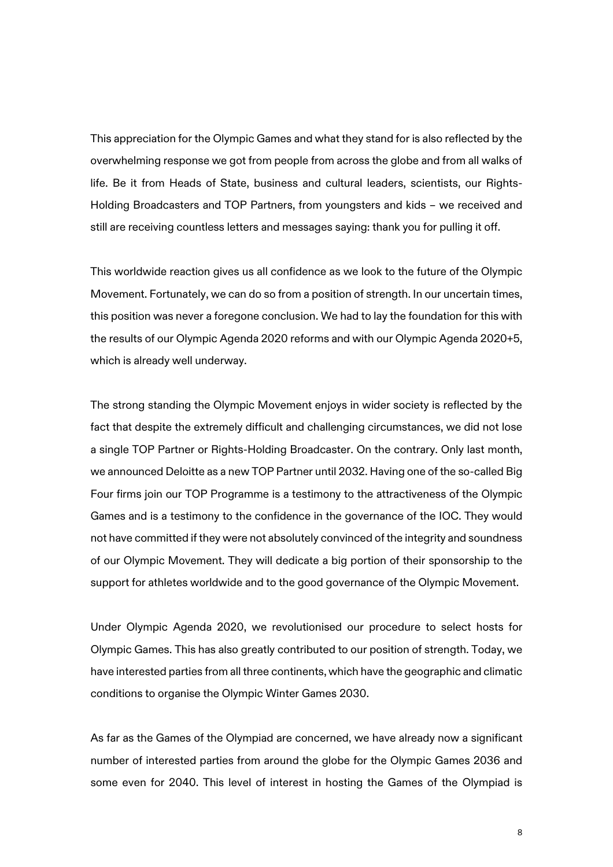This appreciation for the Olympic Games and what they stand for is also reflected by the overwhelming response we got from people from across the globe and from all walks of life. Be it from Heads of State, business and cultural leaders, scientists, our Rights-Holding Broadcasters and TOP Partners, from youngsters and kids – we received and still are receiving countless letters and messages saying: thank you for pulling it off.

This worldwide reaction gives us all confidence as we look to the future of the Olympic Movement. Fortunately, we can do so from a position of strength. In our uncertain times, this position was never a foregone conclusion. We had to lay the foundation for this with the results of our Olympic Agenda 2020 reforms and with our Olympic Agenda 2020+5, which is already well underway.

The strong standing the Olympic Movement enjoys in wider society is reflected by the fact that despite the extremely difficult and challenging circumstances, we did not lose a single TOP Partner or Rights-Holding Broadcaster. On the contrary. Only last month, we announced Deloitte as a new TOP Partner until 2032. Having one of the so-called Big Four firms join our TOP Programme is a testimony to the attractiveness of the Olympic Games and is a testimony to the confidence in the governance of the IOC. They would not have committed if they were not absolutely convinced of the integrity and soundness of our Olympic Movement. They will dedicate a big portion of their sponsorship to the support for athletes worldwide and to the good governance of the Olympic Movement.

Under Olympic Agenda 2020, we revolutionised our procedure to select hosts for Olympic Games. This has also greatly contributed to our position of strength. Today, we have interested parties from all three continents, which have the geographic and climatic conditions to organise the Olympic Winter Games 2030.

As far as the Games of the Olympiad are concerned, we have already now a significant number of interested parties from around the globe for the Olympic Games 2036 and some even for 2040. This level of interest in hosting the Games of the Olympiad is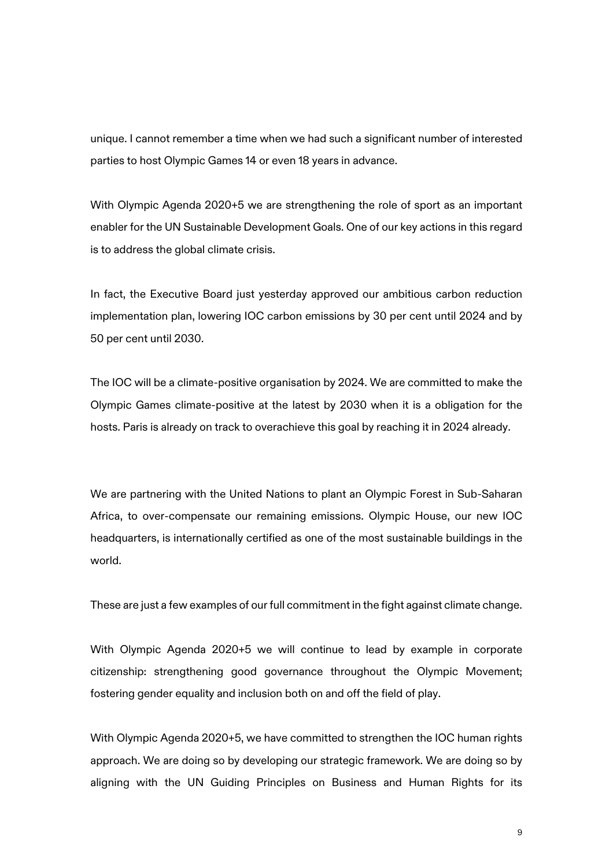unique. I cannot remember a time when we had such a significant number of interested parties to host Olympic Games 14 or even 18 years in advance.

With Olympic Agenda 2020+5 we are strengthening the role of sport as an important enabler for the UN Sustainable Development Goals. One of our key actions in this regard is to address the global climate crisis.

In fact, the Executive Board just yesterday approved our ambitious carbon reduction implementation plan, lowering IOC carbon emissions by 30 per cent until 2024 and by 50 per cent until 2030.

The IOC will be a climate-positive organisation by 2024. We are committed to make the Olympic Games climate-positive at the latest by 2030 when it is a obligation for the hosts. Paris is already on track to overachieve this goal by reaching it in 2024 already.

We are partnering with the United Nations to plant an Olympic Forest in Sub-Saharan Africa, to over-compensate our remaining emissions. Olympic House, our new IOC headquarters, is internationally certified as one of the most sustainable buildings in the world.

These are just a few examples of our full commitment in the fight against climate change.

With Olympic Agenda 2020+5 we will continue to lead by example in corporate citizenship: strengthening good governance throughout the Olympic Movement; fostering gender equality and inclusion both on and off the field of play.

With Olympic Agenda 2020+5, we have committed to strengthen the IOC human rights approach. We are doing so by developing our strategic framework. We are doing so by aligning with the UN Guiding Principles on Business and Human Rights for its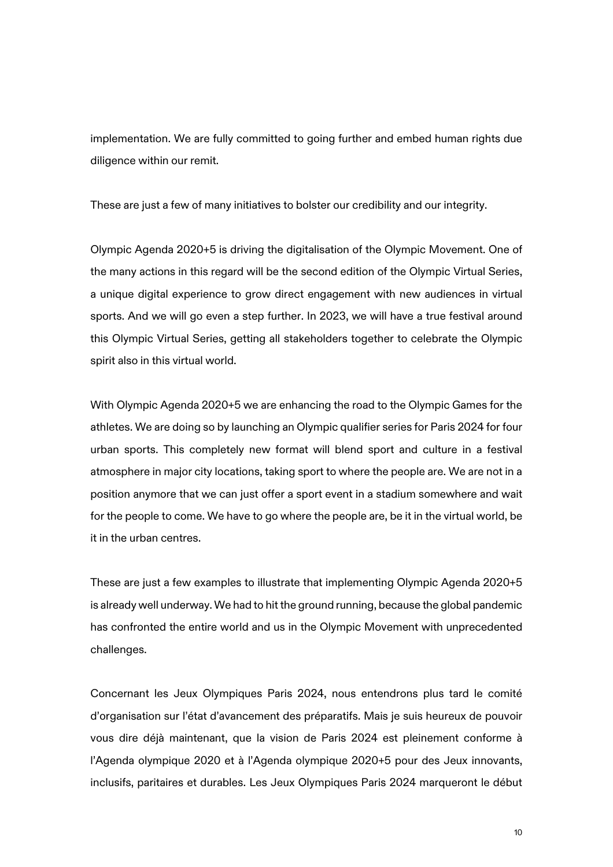implementation. We are fully committed to going further and embed human rights due diligence within our remit.

These are just a few of many initiatives to bolster our credibility and our integrity.

Olympic Agenda 2020+5 is driving the digitalisation of the Olympic Movement. One of the many actions in this regard will be the second edition of the Olympic Virtual Series, a unique digital experience to grow direct engagement with new audiences in virtual sports. And we will go even a step further. In 2023, we will have a true festival around this Olympic Virtual Series, getting all stakeholders together to celebrate the Olympic spirit also in this virtual world.

With Olympic Agenda 2020+5 we are enhancing the road to the Olympic Games for the athletes. We are doing so by launching an Olympic qualifier series for Paris 2024 for four urban sports. This completely new format will blend sport and culture in a festival atmosphere in major city locations, taking sport to where the people are. We are not in a position anymore that we can just offer a sport event in a stadium somewhere and wait for the people to come. We have to go where the people are, be it in the virtual world, be it in the urban centres.

These are just a few examples to illustrate that implementing Olympic Agenda 2020+5 is already well underway. We had to hit the ground running, because the global pandemic has confronted the entire world and us in the Olympic Movement with unprecedented challenges.

Concernant les Jeux Olympiques Paris 2024, nous entendrons plus tard le comité d'organisation sur l'état d'avancement des préparatifs. Mais je suis heureux de pouvoir vous dire déjà maintenant, que la vision de Paris 2024 est pleinement conforme à l'Agenda olympique 2020 et à l'Agenda olympique 2020+5 pour des Jeux innovants, inclusifs, paritaires et durables. Les Jeux Olympiques Paris 2024 marqueront le début